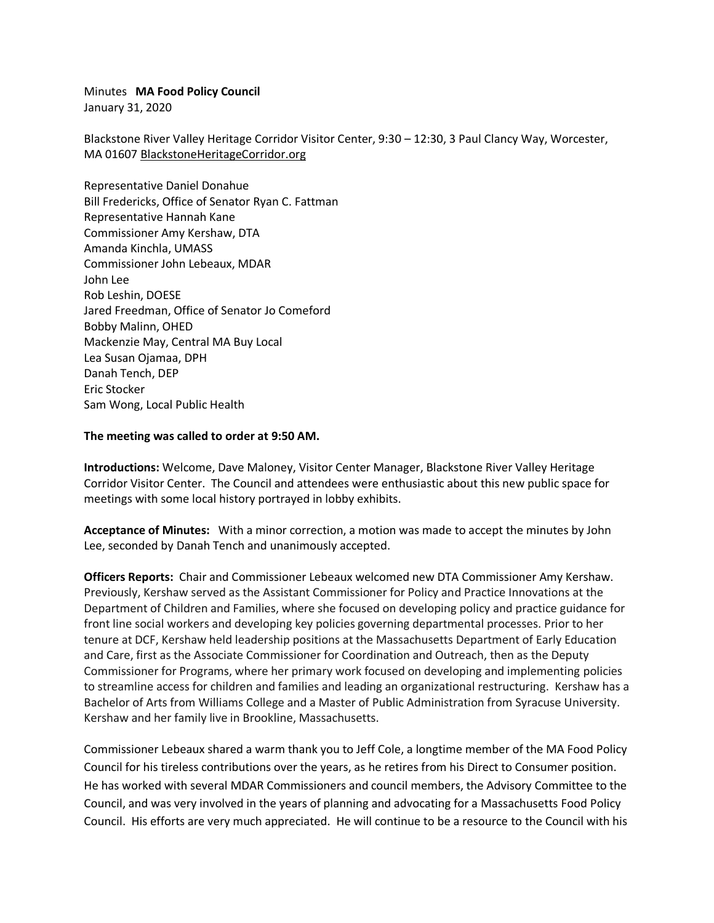Minutes **MA Food Policy Council**

January 31, 2020

Blackstone River Valley Heritage Corridor Visitor Center, 9:30 – 12:30, 3 Paul Clancy Way, Worcester, MA 01607 [BlackstoneHeritageCorridor.org](https://urldefense.proofpoint.com/v2/url?u=http-3A__www.blackstoneheritagecorridor.org_&d=DwMGaQ&c=lDF7oMaPKXpkYvev9V-fVahWL0QWnGCCAfCDz1Bns_w&r=YrpVnhwhSgMBP3cJC2A1bNNUqc_H54UHV1hG5zLaX_c&m=rtbmeCkA5wOMI2FP4NeYE5jUZfySOMi2ZHZm4umXLno&s=S3q_WxcTVhHMvQSVEdkGIegY_cMUnBQFNusX5AFmQQM&e=)

Representative Daniel Donahue Bill Fredericks, Office of Senator Ryan C. Fattman Representative Hannah Kane Commissioner Amy Kershaw, DTA Amanda Kinchla, UMASS Commissioner John Lebeaux, MDAR John Lee Rob Leshin, DOESE Jared Freedman, Office of Senator Jo Comeford Bobby Malinn, OHED Mackenzie May, Central MA Buy Local Lea Susan Ojamaa, DPH Danah Tench, DEP Eric Stocker Sam Wong, Local Public Health

## **The meeting was called to order at 9:50 AM.**

**Introductions:** Welcome, Dave Maloney, Visitor Center Manager, Blackstone River Valley Heritage Corridor Visitor Center. The Council and attendees were enthusiastic about this new public space for meetings with some local history portrayed in lobby exhibits.

**Acceptance of Minutes:** With a minor correction, a motion was made to accept the minutes by John Lee, seconded by Danah Tench and unanimously accepted.

**Officers Reports:** Chair and Commissioner Lebeaux welcomed new DTA Commissioner Amy Kershaw. Previously, Kershaw served as the Assistant Commissioner for Policy and Practice Innovations at the Department of Children and Families, where she focused on developing policy and practice guidance for front line social workers and developing key policies governing departmental processes. Prior to her tenure at DCF, Kershaw held leadership positions at the Massachusetts Department of Early Education and Care, first as the Associate Commissioner for Coordination and Outreach, then as the Deputy Commissioner for Programs, where her primary work focused on developing and implementing policies to streamline access for children and families and leading an organizational restructuring. Kershaw has a Bachelor of Arts from Williams College and a Master of Public Administration from Syracuse University. Kershaw and her family live in Brookline, Massachusetts.

Commissioner Lebeaux shared a warm thank you to Jeff Cole, a longtime member of the MA Food Policy Council for his tireless contributions over the years, as he retires from his Direct to Consumer position. He has worked with several MDAR Commissioners and council members, the Advisory Committee to the Council, and was very involved in the years of planning and advocating for a Massachusetts Food Policy Council. His efforts are very much appreciated. He will continue to be a resource to the Council with his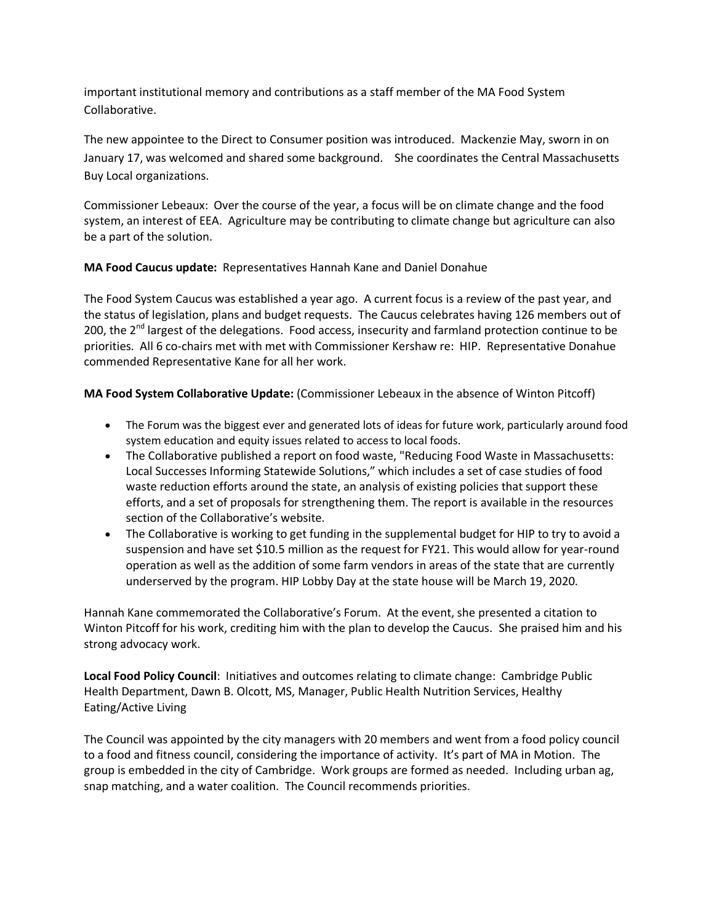important institutional memory and contributions as a staff member of the MA Food System Collaborative.

The new appointee to the Direct to Consumer position was introduced. Mackenzie May, sworn in on January 17, was welcomed and shared some background. She coordinates the Central Massachusetts Buy Local organizations.

Commissioner Lebeaux: Over the course of the year, a focus will be on climate change and the food system, an interest of EEA. Agriculture may be contributing to climate change but agriculture can also be a part of the solution.

# **MA Food Caucus update:** Representatives Hannah Kane and Daniel Donahue

The Food System Caucus was established a year ago. A current focus is a review of the past year, and the status of legislation, plans and budget requests. The Caucus celebrates having 126 members out of 200, the 2<sup>nd</sup> largest of the delegations. Food access, insecurity and farmland protection continue to be priorities. All 6 co-chairs met with met with Commissioner Kershaw re: HIP. Representative Donahue commended Representative Kane for all her work.

# **MA Food System Collaborative Update:** (Commissioner Lebeaux in the absence of Winton Pitcoff)

- The Forum was the biggest ever and generated lots of ideas for future work, particularly around food system education and equity issues related to access to local foods.
- The Collaborative published a report on food waste, "Reducing Food Waste in Massachusetts: Local Successes Informing Statewide Solutions," which includes a set of case studies of food waste reduction efforts around the state, an analysis of existing policies that support these efforts, and a set of proposals for strengthening them. The report is available in the resources section of the Collaborative's website.
- The Collaborative is working to get funding in the supplemental budget for HIP to try to avoid a suspension and have set \$10.5 million as the request for FY21. This would allow for year-round operation as well as the addition of some farm vendors in areas of the state that are currently underserved by the program. HIP Lobby Day at the state house will be March 19, 2020.

Hannah Kane commemorated the Collaborative's Forum. At the event, she presented a citation to Winton Pitcoff for his work, crediting him with the plan to develop the Caucus. She praised him and his strong advocacy work.

**Local Food Policy Council**: Initiatives and outcomes relating to climate change: Cambridge Public Health Department, Dawn B. Olcott, MS, Manager, Public Health Nutrition Services, Healthy Eating/Active Living

The Council was appointed by the city managers with 20 members and went from a food policy council to a food and fitness council, considering the importance of activity. It's part of MA in Motion. The group is embedded in the city of Cambridge. Work groups are formed as needed. Including urban ag, snap matching, and a water coalition. The Council recommends priorities.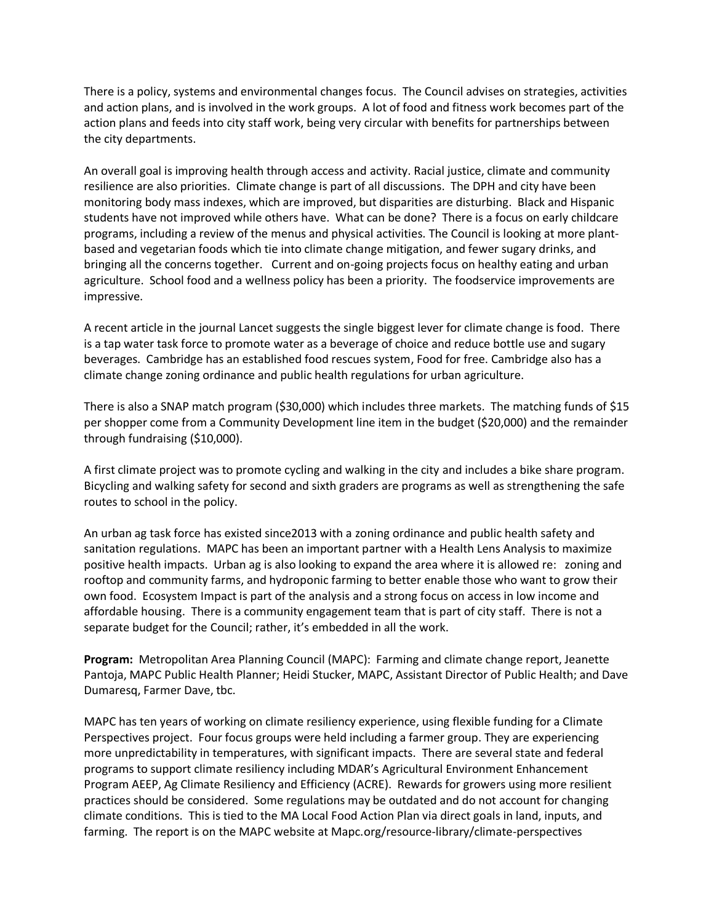There is a policy, systems and environmental changes focus. The Council advises on strategies, activities and action plans, and is involved in the work groups. A lot of food and fitness work becomes part of the action plans and feeds into city staff work, being very circular with benefits for partnerships between the city departments.

An overall goal is improving health through access and activity. Racial justice, climate and community resilience are also priorities. Climate change is part of all discussions. The DPH and city have been monitoring body mass indexes, which are improved, but disparities are disturbing. Black and Hispanic students have not improved while others have. What can be done? There is a focus on early childcare programs, including a review of the menus and physical activities. The Council is looking at more plantbased and vegetarian foods which tie into climate change mitigation, and fewer sugary drinks, and bringing all the concerns together. Current and on-going projects focus on healthy eating and urban agriculture. School food and a wellness policy has been a priority. The foodservice improvements are impressive.

A recent article in the journal Lancet suggests the single biggest lever for climate change is food. There is a tap water task force to promote water as a beverage of choice and reduce bottle use and sugary beverages. Cambridge has an established food rescues system, Food for free. Cambridge also has a climate change zoning ordinance and public health regulations for urban agriculture.

There is also a SNAP match program (\$30,000) which includes three markets. The matching funds of \$15 per shopper come from a Community Development line item in the budget (\$20,000) and the remainder through fundraising (\$10,000).

A first climate project was to promote cycling and walking in the city and includes a bike share program. Bicycling and walking safety for second and sixth graders are programs as well as strengthening the safe routes to school in the policy.

An urban ag task force has existed since2013 with a zoning ordinance and public health safety and sanitation regulations. MAPC has been an important partner with a Health Lens Analysis to maximize positive health impacts. Urban ag is also looking to expand the area where it is allowed re: zoning and rooftop and community farms, and hydroponic farming to better enable those who want to grow their own food. Ecosystem Impact is part of the analysis and a strong focus on access in low income and affordable housing. There is a community engagement team that is part of city staff. There is not a separate budget for the Council; rather, it's embedded in all the work.

**Program:** Metropolitan Area Planning Council (MAPC): Farming and climate change report, Jeanette Pantoja, MAPC Public Health Planner; Heidi Stucker, MAPC, Assistant Director of Public Health; and Dave Dumaresq, Farmer Dave, tbc.

MAPC has ten years of working on climate resiliency experience, using flexible funding for a Climate Perspectives project. Four focus groups were held including a farmer group. They are experiencing more unpredictability in temperatures, with significant impacts. There are several state and federal programs to support climate resiliency including MDAR's Agricultural Environment Enhancement Program AEEP, Ag Climate Resiliency and Efficiency (ACRE). Rewards for growers using more resilient practices should be considered. Some regulations may be outdated and do not account for changing climate conditions. This is tied to the MA Local Food Action Plan via direct goals in land, inputs, and farming. The report is on the MAPC website at Mapc.org/resource-library/climate-perspectives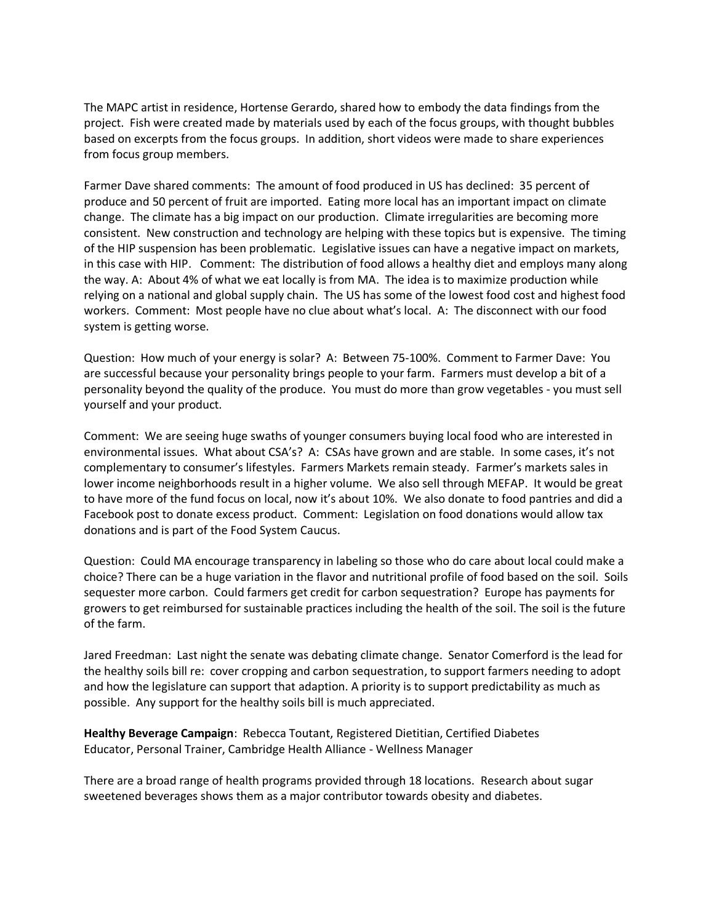The MAPC artist in residence, Hortense Gerardo, shared how to embody the data findings from the project. Fish were created made by materials used by each of the focus groups, with thought bubbles based on excerpts from the focus groups. In addition, short videos were made to share experiences from focus group members.

Farmer Dave shared comments: The amount of food produced in US has declined: 35 percent of produce and 50 percent of fruit are imported. Eating more local has an important impact on climate change. The climate has a big impact on our production. Climate irregularities are becoming more consistent. New construction and technology are helping with these topics but is expensive. The timing of the HIP suspension has been problematic. Legislative issues can have a negative impact on markets, in this case with HIP. Comment: The distribution of food allows a healthy diet and employs many along the way. A: About 4% of what we eat locally is from MA. The idea is to maximize production while relying on a national and global supply chain. The US has some of the lowest food cost and highest food workers. Comment: Most people have no clue about what's local. A: The disconnect with our food system is getting worse.

Question: How much of your energy is solar? A: Between 75-100%. Comment to Farmer Dave: You are successful because your personality brings people to your farm. Farmers must develop a bit of a personality beyond the quality of the produce. You must do more than grow vegetables - you must sell yourself and your product.

Comment: We are seeing huge swaths of younger consumers buying local food who are interested in environmental issues. What about CSA's? A: CSAs have grown and are stable. In some cases, it's not complementary to consumer's lifestyles. Farmers Markets remain steady. Farmer's markets sales in lower income neighborhoods result in a higher volume. We also sell through MEFAP. It would be great to have more of the fund focus on local, now it's about 10%. We also donate to food pantries and did a Facebook post to donate excess product. Comment: Legislation on food donations would allow tax donations and is part of the Food System Caucus.

Question: Could MA encourage transparency in labeling so those who do care about local could make a choice? There can be a huge variation in the flavor and nutritional profile of food based on the soil. Soils sequester more carbon. Could farmers get credit for carbon sequestration? Europe has payments for growers to get reimbursed for sustainable practices including the health of the soil. The soil is the future of the farm.

Jared Freedman: Last night the senate was debating climate change. Senator Comerford is the lead for the healthy soils bill re: cover cropping and carbon sequestration, to support farmers needing to adopt and how the legislature can support that adaption. A priority is to support predictability as much as possible. Any support for the healthy soils bill is much appreciated.

**Healthy Beverage Campaign**: Rebecca Toutant, Registered Dietitian, Certified Diabetes Educator, Personal Trainer, Cambridge Health Alliance - Wellness Manager

There are a broad range of health programs provided through 18 locations. Research about sugar sweetened beverages shows them as a major contributor towards obesity and diabetes.